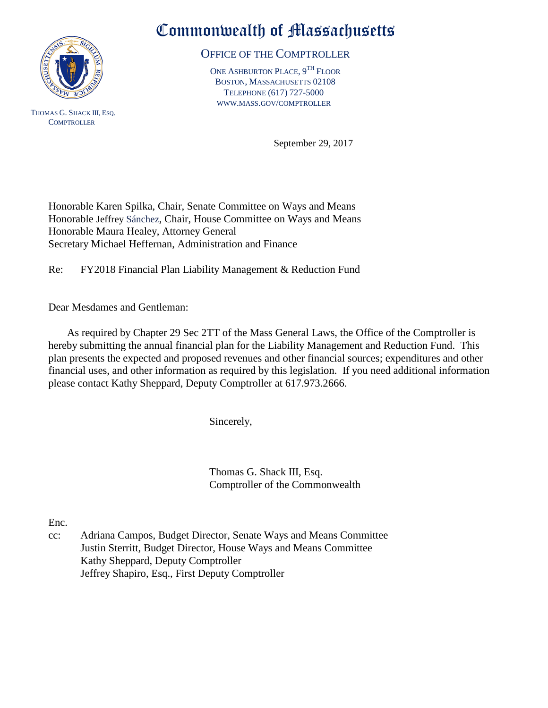

THOMAS G. SHACK III, ESQ. **COMPTROLLER** 

## Commonwealth of Massachusetts

OFFICE OF THE COMPTROLLER

ONE ASHBURTON PLACE, 9TH FLOOR BOSTON, MASSACHUSETTS 02108 TELEPHONE (617) 727-5000 WWW.MASS.GOV/COMPTROLLER

September 29, 2017

Honorable Karen Spilka, Chair, Senate Committee on Ways and Means Honorable Jeffrey Sánchez, Chair, House Committee on Ways and Means Honorable Maura Healey, Attorney General Secretary Michael Heffernan, Administration and Finance

Re: FY2018 Financial Plan Liability Management & Reduction Fund

Dear Mesdames and Gentleman:

 As required by Chapter 29 Sec 2TT of the Mass General Laws, the Office of the Comptroller is hereby submitting the annual financial plan for the Liability Management and Reduction Fund. This plan presents the expected and proposed revenues and other financial sources; expenditures and other financial uses, and other information as required by this legislation. If you need additional information please contact Kathy Sheppard, Deputy Comptroller at 617.973.2666.

Sincerely,

Thomas G. Shack III, Esq. Comptroller of the Commonwealth

Enc.

cc: Adriana Campos, Budget Director, Senate Ways and Means Committee Justin Sterritt, Budget Director, House Ways and Means Committee Kathy Sheppard, Deputy Comptroller Jeffrey Shapiro, Esq., First Deputy Comptroller